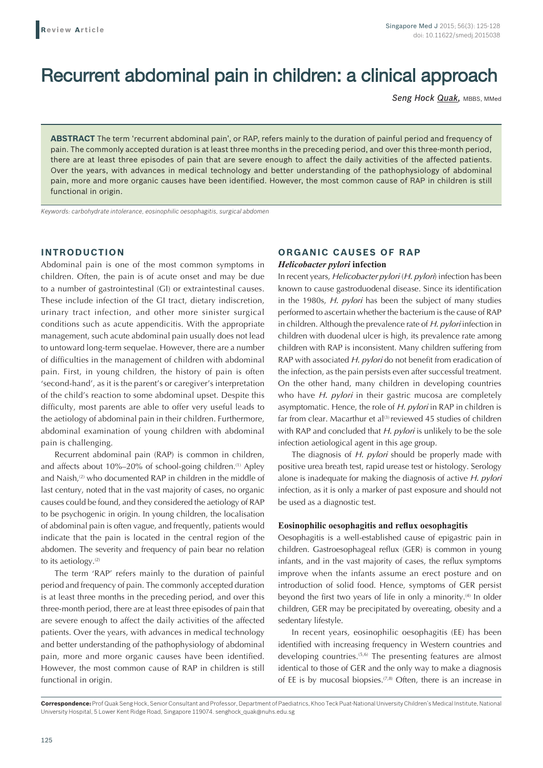# Recurrent abdominal pain in children: a clinical approach

Seng Hock **Quak**, MBBS, MMed

**ABSTRACT** The term 'recurrent abdominal pain', or RAP, refers mainly to the duration of painful period and frequency of pain. The commonly accepted duration is at least three months in the preceding period, and over this three-month period, there are at least three episodes of pain that are severe enough to affect the daily activities of the affected patients. Over the years, with advances in medical technology and better understanding of the pathophysiology of abdominal pain, more and more organic causes have been identified. However, the most common cause of RAP in children is still functional in origin.

*Keywords: carbohydrate intolerance, eosinophilic oesophagitis, surgical abdomen*

# **INTRODUCTION**

Abdominal pain is one of the most common symptoms in children. Often, the pain is of acute onset and may be due to a number of gastrointestinal (GI) or extraintestinal causes. These include infection of the GI tract, dietary indiscretion, urinary tract infection, and other more sinister surgical conditions such as acute appendicitis. With the appropriate management, such acute abdominal pain usually does not lead to untoward long-term sequelae. However, there are a number of difficulties in the management of children with abdominal pain. First, in young children, the history of pain is often 'second-hand', as it is the parent's or caregiver's interpretation of the child's reaction to some abdominal upset. Despite this difficulty, most parents are able to offer very useful leads to the aetiology of abdominal pain in their children. Furthermore, abdominal examination of young children with abdominal pain is challenging.

Recurrent abdominal pain (RAP) is common in children, and affects about 10%–20% of school-going children.<sup>(1)</sup> Apley and Naish,<sup>(2)</sup> who documented RAP in children in the middle of last century, noted that in the vast majority of cases, no organic causes could be found, and they considered the aetiology of RAP to be psychogenic in origin. In young children, the localisation of abdominal pain is often vague, and frequently, patients would indicate that the pain is located in the central region of the abdomen. The severity and frequency of pain bear no relation to its aetiology. $(2)$ 

The term 'RAP' refers mainly to the duration of painful period and frequency of pain. The commonly accepted duration is at least three months in the preceding period, and over this three-month period, there are at least three episodes of pain that are severe enough to affect the daily activities of the affected patients. Over the years, with advances in medical technology and better understanding of the pathophysiology of abdominal pain, more and more organic causes have been identified. However, the most common cause of RAP in children is still functional in origin.

# **ORGANIC CAUSES OF RAP** *Helicobacter pylori* **infection**

In recent years, *Helicobacter pylori* (*H. pylori*) infection has been known to cause gastroduodenal disease. Since its identification in the 1980s, *H. pylori* has been the subject of many studies performed to ascertain whether the bacterium is the cause of RAP in children. Although the prevalence rate of *H. pylori* infection in children with duodenal ulcer is high, its prevalence rate among children with RAP is inconsistent. Many children suffering from RAP with associated *H. pylori* do not benefit from eradication of the infection, as the pain persists even after successful treatment. On the other hand, many children in developing countries who have *H. pylori* in their gastric mucosa are completely asymptomatic. Hence, the role of *H. pylori* in RAP in children is far from clear. Macarthur et al $^{(3)}$  reviewed 45 studies of children with RAP and concluded that *H. pylori* is unlikely to be the sole infection aetiological agent in this age group.

The diagnosis of *H. pylori* should be properly made with positive urea breath test, rapid urease test or histology. Serology alone is inadequate for making the diagnosis of active *H. pylori* infection, as it is only a marker of past exposure and should not be used as a diagnostic test.

## **Eosinophilic oesophagitis and reflux oesophagitis**

Oesophagitis is a well-established cause of epigastric pain in children. Gastroesophageal reflux (GER) is common in young infants, and in the vast majority of cases, the reflux symptoms improve when the infants assume an erect posture and on introduction of solid food. Hence, symptoms of GER persist beyond the first two years of life in only a minority.<sup>(4)</sup> In older children, GER may be precipitated by overeating, obesity and a sedentary lifestyle.

In recent years, eosinophilic oesophagitis (EE) has been identified with increasing frequency in Western countries and developing countries.<sup>(5,6)</sup> The presenting features are almost identical to those of GER and the only way to make a diagnosis of EE is by mucosal biopsies.<sup> $(7,8)$ </sup> Often, there is an increase in

**Correspondence:** Prof Quak Seng Hock, Senior Consultant and Professor, Department of Paediatrics, Khoo Teck Puat-National University Children's Medical Institute, National University Hospital, 5 Lower Kent Ridge Road, Singapore 119074. senghock\_quak@nuhs.edu.sg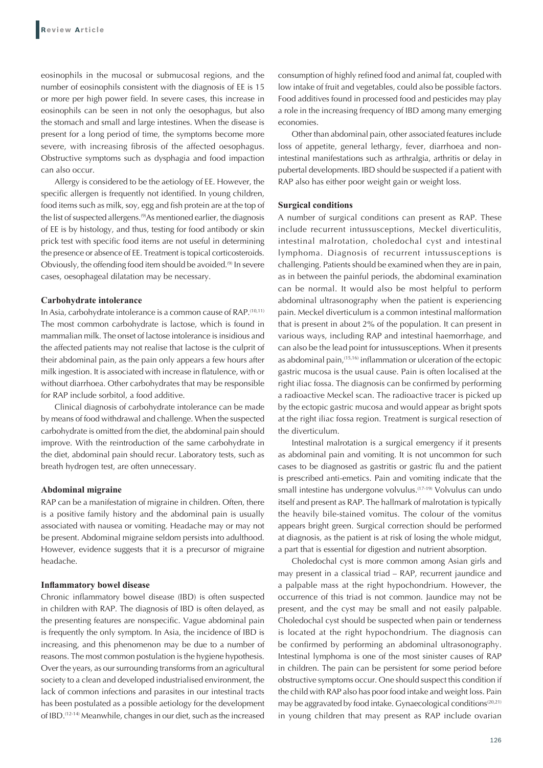eosinophils in the mucosal or submucosal regions, and the number of eosinophils consistent with the diagnosis of EE is 15 or more per high power field. In severe cases, this increase in eosinophils can be seen in not only the oesophagus, but also the stomach and small and large intestines. When the disease is present for a long period of time, the symptoms become more severe, with increasing fibrosis of the affected oesophagus. Obstructive symptoms such as dysphagia and food impaction can also occur.

Allergy is considered to be the aetiology of EE. However, the specific allergen is frequently not identified. In young children, food items such as milk, soy, egg and fish protein are at the top of the list of suspected allergens.<sup>(9)</sup>As mentioned earlier, the diagnosis of EE is by histology, and thus, testing for food antibody or skin prick test with specific food items are not useful in determining the presence or absence of EE. Treatment is topical corticosteroids. Obviously, the offending food item should be avoided.<sup>(9)</sup> In severe cases, oesophageal dilatation may be necessary.

## **Carbohydrate intolerance**

In Asia, carbohydrate intolerance is a common cause of RAP.(10,11) The most common carbohydrate is lactose, which is found in mammalian milk. The onset of lactose intolerance is insidious and the affected patients may not realise that lactose is the culprit of their abdominal pain, as the pain only appears a few hours after milk ingestion. It is associated with increase in flatulence, with or without diarrhoea. Other carbohydrates that may be responsible for RAP include sorbitol, a food additive.

Clinical diagnosis of carbohydrate intolerance can be made by means of food withdrawal and challenge. When the suspected carbohydrate is omitted from the diet, the abdominal pain should improve. With the reintroduction of the same carbohydrate in the diet, abdominal pain should recur. Laboratory tests, such as breath hydrogen test, are often unnecessary.

#### **Abdominal migraine**

RAP can be a manifestation of migraine in children. Often, there is a positive family history and the abdominal pain is usually associated with nausea or vomiting. Headache may or may not be present. Abdominal migraine seldom persists into adulthood. However, evidence suggests that it is a precursor of migraine headache.

# **Inflammatory bowel disease**

Chronic inflammatory bowel disease (IBD) is often suspected in children with RAP. The diagnosis of IBD is often delayed, as the presenting features are nonspecific. Vague abdominal pain is frequently the only symptom. In Asia, the incidence of IBD is increasing, and this phenomenon may be due to a number of reasons. The most common postulation is the hygiene hypothesis. Over the years, as our surrounding transforms from an agricultural society to a clean and developed industrialised environment, the lack of common infections and parasites in our intestinal tracts has been postulated as a possible aetiology for the development of IBD.(12-14) Meanwhile, changes in our diet, such as the increased consumption of highly refined food and animal fat, coupled with low intake of fruit and vegetables, could also be possible factors. Food additives found in processed food and pesticides may play a role in the increasing frequency of IBD among many emerging economies.

Other than abdominal pain, other associated features include loss of appetite, general lethargy, fever, diarrhoea and nonintestinal manifestations such as arthralgia, arthritis or delay in pubertal developments. IBD should be suspected if a patient with RAP also has either poor weight gain or weight loss.

#### **Surgical conditions**

A number of surgical conditions can present as RAP. These include recurrent intussusceptions, Meckel diverticulitis, intestinal malrotation, choledochal cyst and intestinal lymphoma. Diagnosis of recurrent intussusceptions is challenging. Patients should be examined when they are in pain, as in between the painful periods, the abdominal examination can be normal. It would also be most helpful to perform abdominal ultrasonography when the patient is experiencing pain. Meckel diverticulum is a common intestinal malformation that is present in about 2% of the population. It can present in various ways, including RAP and intestinal haemorrhage, and can also be the lead point for intussusceptions. When it presents as abdominal pain,(15,16) inflammation or ulceration of the ectopic gastric mucosa is the usual cause. Pain is often localised at the right iliac fossa. The diagnosis can be confirmed by performing a radioactive Meckel scan. The radioactive tracer is picked up by the ectopic gastric mucosa and would appear as bright spots at the right iliac fossa region. Treatment is surgical resection of the diverticulum.

Intestinal malrotation is a surgical emergency if it presents as abdominal pain and vomiting. It is not uncommon for such cases to be diagnosed as gastritis or gastric flu and the patient is prescribed anti-emetics. Pain and vomiting indicate that the small intestine has undergone volvulus.(17-19) Volvulus can undo itself and present as RAP. The hallmark of malrotation is typically the heavily bile-stained vomitus. The colour of the vomitus appears bright green. Surgical correction should be performed at diagnosis, as the patient is at risk of losing the whole midgut, a part that is essential for digestion and nutrient absorption.

Choledochal cyst is more common among Asian girls and may present in a classical triad – RAP, recurrent jaundice and a palpable mass at the right hypochondrium. However, the occurrence of this triad is not common. Jaundice may not be present, and the cyst may be small and not easily palpable. Choledochal cyst should be suspected when pain or tenderness is located at the right hypochondrium. The diagnosis can be confirmed by performing an abdominal ultrasonography. Intestinal lymphoma is one of the most sinister causes of RAP in children. The pain can be persistent for some period before obstructive symptoms occur. One should suspect this condition if the child with RAP also has poor food intake and weight loss. Pain may be aggravated by food intake. Gynaecological conditions<sup>(20,21)</sup> in young children that may present as RAP include ovarian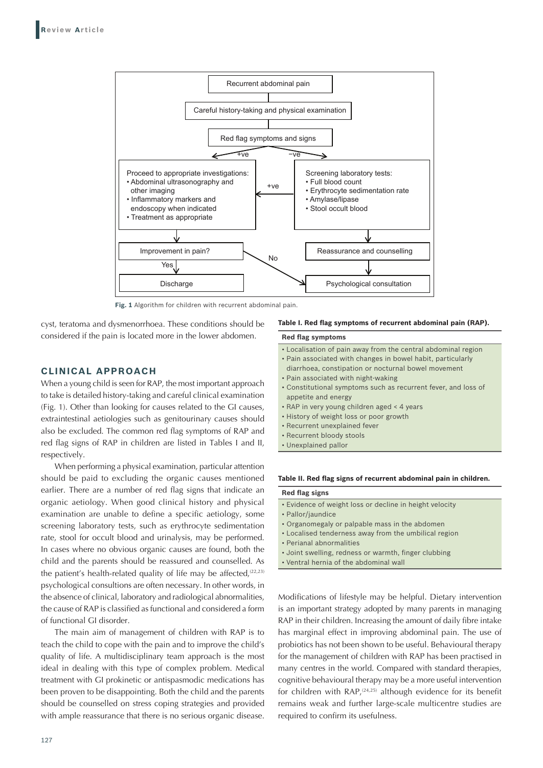

**Fig. 1** Algorithm for children with recurrent abdominal pain.

cyst, teratoma and dysmenorrhoea. These conditions should be considered if the pain is located more in the lower abdomen.

# **CLINICAL APPROACH**

When a young child is seen for RAP, the most important approach to take is detailed history-taking and careful clinical examination (Fig. 1). Other than looking for causes related to the GI causes, extraintestinal aetiologies such as genitourinary causes should also be excluded. The common red flag symptoms of RAP and red flag signs of RAP in children are listed in Tables I and II, respectively.

When performing a physical examination, particular attention should be paid to excluding the organic causes mentioned earlier. There are a number of red flag signs that indicate an organic aetiology. When good clinical history and physical examination are unable to define a specific aetiology, some screening laboratory tests, such as erythrocyte sedimentation rate, stool for occult blood and urinalysis, may be performed. In cases where no obvious organic causes are found, both the child and the parents should be reassured and counselled. As the patient's health-related quality of life may be affected, $(22,23)$ psychological consultions are often necessary. In other words, in the absence of clinical, laboratory and radiological abnormalities, the cause of RAP is classified as functional and considered a form of functional GI disorder.

The main aim of management of children with RAP is to teach the child to cope with the pain and to improve the child's quality of life. A multidisciplinary team approach is the most ideal in dealing with this type of complex problem. Medical treatment with GI prokinetic or antispasmodic medications has been proven to be disappointing. Both the child and the parents should be counselled on stress coping strategies and provided with ample reassurance that there is no serious organic disease.

#### **Table I. Red flag symptoms of recurrent abdominal pain (RAP).**

#### **Red flag symptoms**

- Localisation of pain away from the central abdominal region
- Pain associated with changes in bowel habit, particularly
- diarrhoea, constipation or nocturnal bowel movement
- Pain associated with night-waking
- Constitutional symptoms such as recurrent fever, and loss of appetite and energy
- RAP in very young children aged < 4 years
- History of weight loss or poor growth
- Recurrent unexplained fever
- Recurrent bloody stools
- Unexplained pallor

#### **Table II. Red flag signs of recurrent abdominal pain in children.**

#### **Red flag signs**

- Evidence of weight loss or decline in height velocity
- Pallor/jaundice
- Organomegaly or palpable mass in the abdomen
- Localised tenderness away from the umbilical region
- Perianal abnormalities
- Joint swelling, redness or warmth, finger clubbing
- Ventral hernia of the abdominal wall

Modifications of lifestyle may be helpful. Dietary intervention is an important strategy adopted by many parents in managing RAP in their children. Increasing the amount of daily fibre intake has marginal effect in improving abdominal pain. The use of probiotics has not been shown to be useful. Behavioural therapy for the management of children with RAP has been practised in many centres in the world. Compared with standard therapies, cognitive behavioural therapy may be a more useful intervention for children with RAP,<sup>(24,25)</sup> although evidence for its benefit remains weak and further large-scale multicentre studies are required to confirm its usefulness.